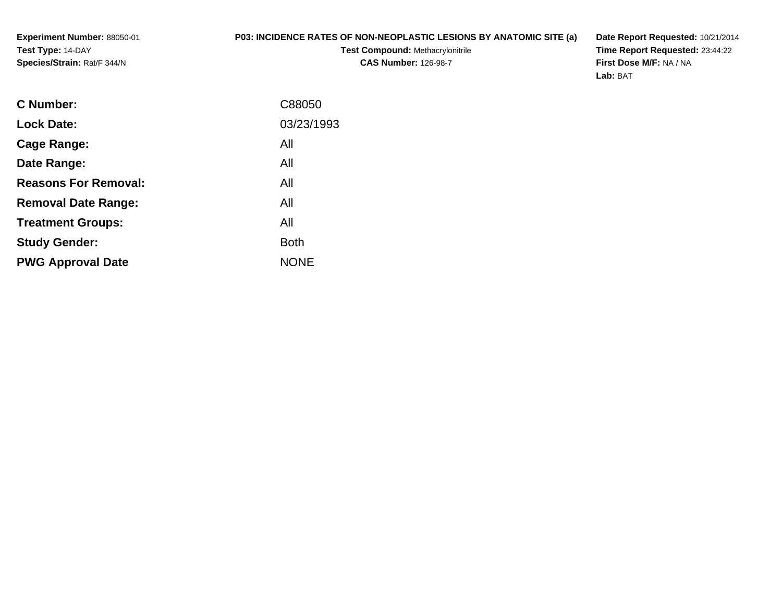**Experiment Number:** 88050-01**Test Type:** 14-DAY**Species/Strain:** Rat/F 344/N

## **P03: INCIDENCE RATES OF NON-NEOPLASTIC LESIONS BY ANATOMIC SITE (a)**

**Test Compound:** Methacrylonitrile**CAS Number:** 126-98-7

**Date Report Requested:** 10/21/2014 **Time Report Requested:** 23:44:22**First Dose M/F:** NA / NA**Lab:** BAT

| <b>C</b> Number:            | C88050      |
|-----------------------------|-------------|
| <b>Lock Date:</b>           | 03/23/1993  |
| Cage Range:                 | All         |
| Date Range:                 | All         |
| <b>Reasons For Removal:</b> | All         |
| <b>Removal Date Range:</b>  | All         |
| <b>Treatment Groups:</b>    | All         |
| <b>Study Gender:</b>        | <b>Both</b> |
| <b>PWG Approval Date</b>    | <b>NONE</b> |
|                             |             |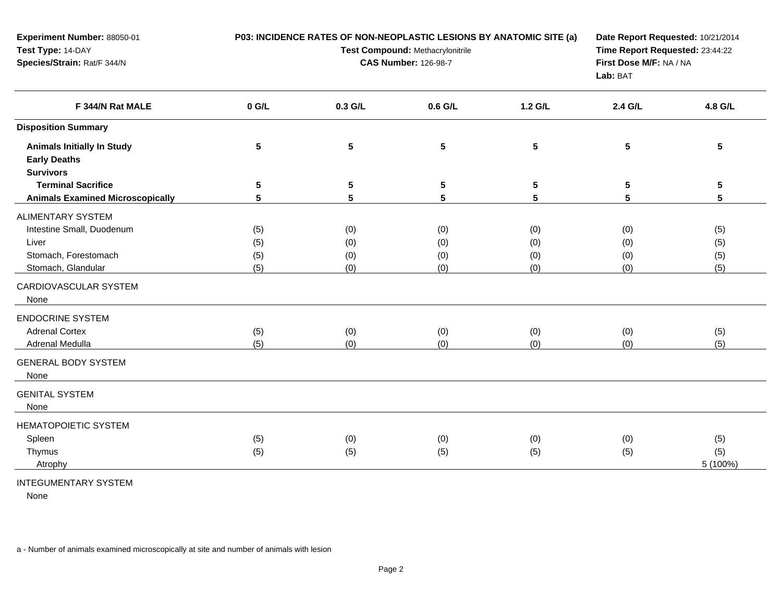| Experiment Number: 88050-01<br>Test Type: 14-DAY<br>Species/Strain: Rat/F 344/N                              |                          | P03: INCIDENCE RATES OF NON-NEOPLASTIC LESIONS BY ANATOMIC SITE (a)<br>Test Compound: Methacrylonitrile<br><b>CAS Number: 126-98-7</b> | Date Report Requested: 10/21/2014<br>Time Report Requested: 23:44:22<br>First Dose M/F: NA / NA<br>Lab: BAT |                          |                          |                          |
|--------------------------------------------------------------------------------------------------------------|--------------------------|----------------------------------------------------------------------------------------------------------------------------------------|-------------------------------------------------------------------------------------------------------------|--------------------------|--------------------------|--------------------------|
| F 344/N Rat MALE                                                                                             | $0$ G/L                  | 0.3 G/L                                                                                                                                | 0.6 G/L                                                                                                     | 1.2 G/L                  | 2.4 G/L                  | 4.8 G/L                  |
| <b>Disposition Summary</b>                                                                                   |                          |                                                                                                                                        |                                                                                                             |                          |                          |                          |
| <b>Animals Initially In Study</b><br><b>Early Deaths</b><br><b>Survivors</b>                                 | 5                        | 5                                                                                                                                      | $5\phantom{a}$                                                                                              | $5\phantom{.0}$          | 5                        | $5\phantom{.0}$          |
| <b>Terminal Sacrifice</b><br><b>Animals Examined Microscopically</b>                                         | $5\phantom{.0}$<br>5     | 5<br>5                                                                                                                                 | 5<br>5                                                                                                      | $5\phantom{.0}$<br>5     | 5<br>5                   | $5\phantom{.0}$<br>5     |
| <b>ALIMENTARY SYSTEM</b><br>Intestine Small, Duodenum<br>Liver<br>Stomach, Forestomach<br>Stomach, Glandular | (5)<br>(5)<br>(5)<br>(5) | (0)<br>(0)<br>(0)<br>(0)                                                                                                               | (0)<br>(0)<br>(0)<br>(0)                                                                                    | (0)<br>(0)<br>(0)<br>(0) | (0)<br>(0)<br>(0)<br>(0) | (5)<br>(5)<br>(5)<br>(5) |
| CARDIOVASCULAR SYSTEM<br>None                                                                                |                          |                                                                                                                                        |                                                                                                             |                          |                          |                          |
| <b>ENDOCRINE SYSTEM</b><br><b>Adrenal Cortex</b><br><b>Adrenal Medulla</b>                                   | (5)<br>(5)               | (0)<br>(0)                                                                                                                             | (0)<br>(0)                                                                                                  | (0)<br>(0)               | (0)<br>(0)               | (5)<br>(5)               |
| <b>GENERAL BODY SYSTEM</b><br>None                                                                           |                          |                                                                                                                                        |                                                                                                             |                          |                          |                          |
| <b>GENITAL SYSTEM</b><br>None                                                                                |                          |                                                                                                                                        |                                                                                                             |                          |                          |                          |
| <b>HEMATOPOIETIC SYSTEM</b><br>Spleen<br>Thymus<br>Atrophy                                                   | (5)<br>(5)               | (0)<br>(5)                                                                                                                             | (0)<br>(5)                                                                                                  | (0)<br>(5)               | (0)<br>(5)               | (5)<br>(5)<br>5 (100%)   |

## INTEGUMENTARY SYSTEM

None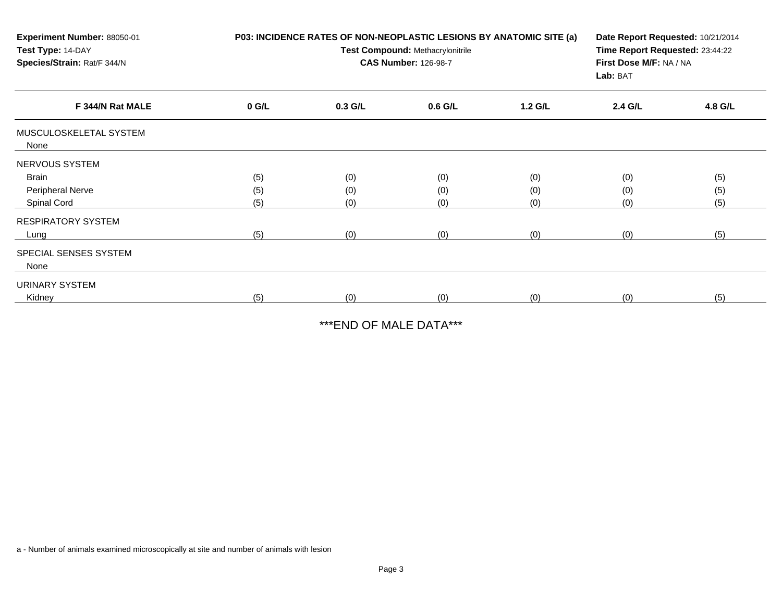| Experiment Number: 88050-01<br>Test Type: 14-DAY<br>Species/Strain: Rat/F 344/N |         | P03: INCIDENCE RATES OF NON-NEOPLASTIC LESIONS BY ANATOMIC SITE (a)<br>Test Compound: Methacrylonitrile<br><b>CAS Number: 126-98-7</b> | Date Report Requested: 10/21/2014<br>Time Report Requested: 23:44:22<br>First Dose M/F: NA / NA<br>Lab: BAT |         |         |         |
|---------------------------------------------------------------------------------|---------|----------------------------------------------------------------------------------------------------------------------------------------|-------------------------------------------------------------------------------------------------------------|---------|---------|---------|
| F 344/N Rat MALE                                                                | $0$ G/L | $0.3$ G/L                                                                                                                              | $0.6$ G/L                                                                                                   | 1.2 G/L | 2.4 G/L | 4.8 G/L |
| MUSCULOSKELETAL SYSTEM<br>None                                                  |         |                                                                                                                                        |                                                                                                             |         |         |         |
| NERVOUS SYSTEM                                                                  |         |                                                                                                                                        |                                                                                                             |         |         |         |
| Brain                                                                           | (5)     | (0)                                                                                                                                    | (0)                                                                                                         | (0)     | (0)     | (5)     |
| Peripheral Nerve                                                                | (5)     | (0)                                                                                                                                    | (0)                                                                                                         | (0)     | (0)     | (5)     |
| Spinal Cord                                                                     | (5)     | (0)                                                                                                                                    | (0)                                                                                                         | (0)     | (0)     | (5)     |
| <b>RESPIRATORY SYSTEM</b>                                                       |         |                                                                                                                                        |                                                                                                             |         |         |         |
| Lung                                                                            | (5)     | (0)                                                                                                                                    | (0)                                                                                                         | (0)     | (0)     | (5)     |
| SPECIAL SENSES SYSTEM<br>None                                                   |         |                                                                                                                                        |                                                                                                             |         |         |         |
| URINARY SYSTEM                                                                  |         |                                                                                                                                        |                                                                                                             |         |         |         |
| Kidney                                                                          | (5)     | (0)                                                                                                                                    | (0)                                                                                                         | (0)     | (0)     | (5)     |

\*\*\*END OF MALE DATA\*\*\*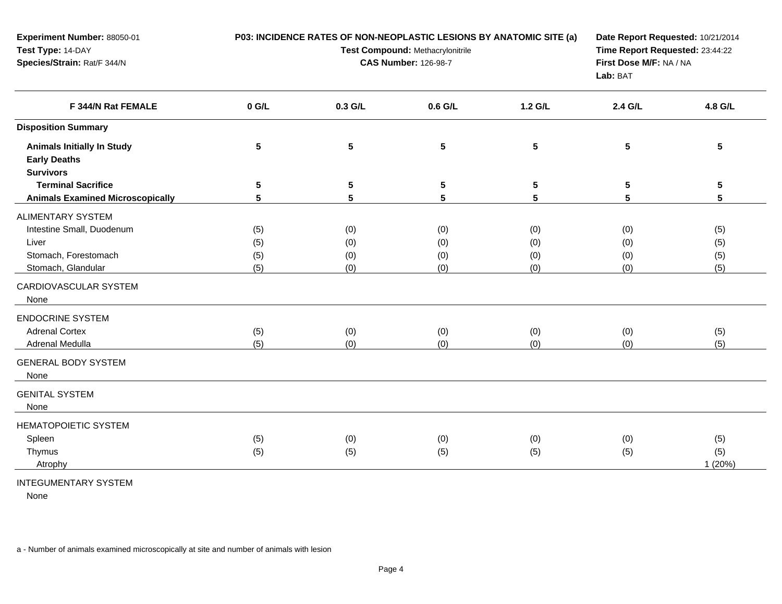| Experiment Number: 88050-01<br>Test Type: 14-DAY<br>Species/Strain: Rat/F 344/N                              |                          | P03: INCIDENCE RATES OF NON-NEOPLASTIC LESIONS BY ANATOMIC SITE (a)<br>Test Compound: Methacrylonitrile<br><b>CAS Number: 126-98-7</b> | Date Report Requested: 10/21/2014<br>Time Report Requested: 23:44:22<br>First Dose M/F: NA / NA<br>Lab: BAT |                          |                          |                          |
|--------------------------------------------------------------------------------------------------------------|--------------------------|----------------------------------------------------------------------------------------------------------------------------------------|-------------------------------------------------------------------------------------------------------------|--------------------------|--------------------------|--------------------------|
| F 344/N Rat FEMALE                                                                                           | $0$ G/L                  | 0.3 G/L                                                                                                                                | 0.6 G/L                                                                                                     | 1.2 G/L                  | 2.4 G/L                  | 4.8 G/L                  |
| <b>Disposition Summary</b>                                                                                   |                          |                                                                                                                                        |                                                                                                             |                          |                          |                          |
| <b>Animals Initially In Study</b><br><b>Early Deaths</b><br><b>Survivors</b>                                 | 5                        | 5                                                                                                                                      | $5\phantom{a}$                                                                                              | $5\phantom{.0}$          | 5                        | $5\phantom{.0}$          |
| <b>Terminal Sacrifice</b><br><b>Animals Examined Microscopically</b>                                         | $5\phantom{.0}$<br>5     | 5<br>5                                                                                                                                 | 5<br>5                                                                                                      | $5\phantom{.0}$<br>5     | 5<br>5                   | $5\phantom{.0}$<br>5     |
| <b>ALIMENTARY SYSTEM</b><br>Intestine Small, Duodenum<br>Liver<br>Stomach, Forestomach<br>Stomach, Glandular | (5)<br>(5)<br>(5)<br>(5) | (0)<br>(0)<br>(0)<br>(0)                                                                                                               | (0)<br>(0)<br>(0)<br>(0)                                                                                    | (0)<br>(0)<br>(0)<br>(0) | (0)<br>(0)<br>(0)<br>(0) | (5)<br>(5)<br>(5)<br>(5) |
| CARDIOVASCULAR SYSTEM<br>None                                                                                |                          |                                                                                                                                        |                                                                                                             |                          |                          |                          |
| <b>ENDOCRINE SYSTEM</b><br><b>Adrenal Cortex</b><br><b>Adrenal Medulla</b>                                   | (5)<br>(5)               | (0)<br>(0)                                                                                                                             | (0)<br>(0)                                                                                                  | (0)<br>(0)               | (0)<br>(0)               | (5)<br>(5)               |
| <b>GENERAL BODY SYSTEM</b><br>None                                                                           |                          |                                                                                                                                        |                                                                                                             |                          |                          |                          |
| <b>GENITAL SYSTEM</b><br>None                                                                                |                          |                                                                                                                                        |                                                                                                             |                          |                          |                          |
| <b>HEMATOPOIETIC SYSTEM</b><br>Spleen<br>Thymus<br>Atrophy                                                   | (5)<br>(5)               | (0)<br>(5)                                                                                                                             | (0)<br>(5)                                                                                                  | (0)<br>(5)               | (0)<br>(5)               | (5)<br>(5)<br>1(20%)     |

## INTEGUMENTARY SYSTEM

None